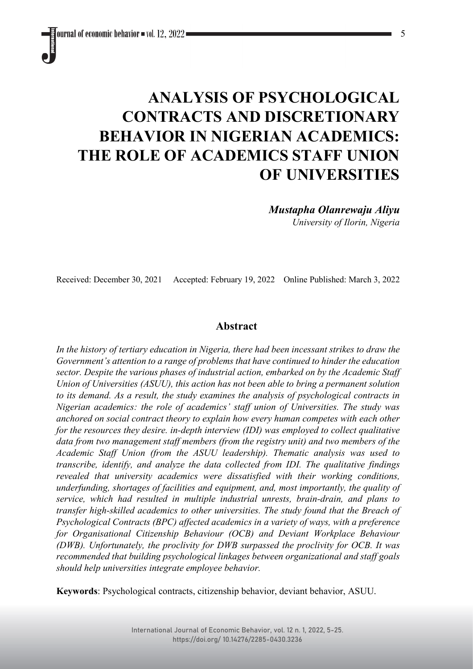# **ANALYSIS OF PSYCHOLOGICAL CONTRACTS AND DISCRETIONARY BEHAVIOR IN NIGERIAN ACADEMICS: THE ROLE OF ACADEMICS STAFF UNION OF UNIVERSITIES**

*Mustapha Olanrewaju Aliyu University of Ilorin, Nigeria*

Received: December 30, 2021 Accepted: February 19, 2022 Online Published: March 3, 2022

# **Abstract**

*In the history of tertiary education in Nigeria, there had been incessant strikes to draw the Government's attention to a range of problems that have continued to hinder the education sector. Despite the various phases of industrial action, embarked on by the Academic Staff Union of Universities (ASUU), this action has not been able to bring a permanent solution to its demand. As a result, the study examines the analysis of psychological contracts in Nigerian academics: the role of academics' staff union of Universities. The study was anchored on social contract theory to explain how every human competes with each other for the resources they desire. in-depth interview (IDI) was employed to collect qualitative data from two management staff members (from the registry unit) and two members of the Academic Staff Union (from the ASUU leadership). Thematic analysis was used to transcribe, identify, and analyze the data collected from IDI. The qualitative findings revealed that university academics were dissatisfied with their working conditions, underfunding, shortages of facilities and equipment, and, most importantly, the quality of service, which had resulted in multiple industrial unrests, brain-drain, and plans to transfer high-skilled academics to other universities. The study found that the Breach of Psychological Contracts (BPC) affected academics in a variety of ways, with a preference for Organisational Citizenship Behaviour (OCB) and Deviant Workplace Behaviour (DWB). Unfortunately, the proclivity for DWB surpassed the proclivity for OCB. It was recommended that building psychological linkages between organizational and staff goals should help universities integrate employee behavior.*

**Keywords**: Psychological contracts, citizenship behavior, deviant behavior, ASUU.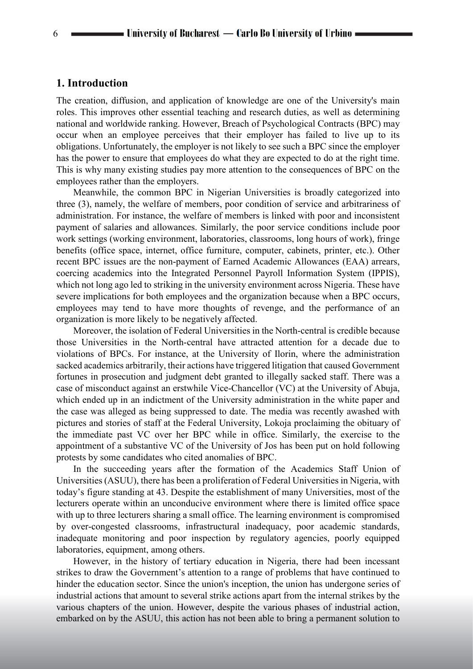# **1. Introduction**

The creation, diffusion, and application of knowledge are one of the University's main roles. This improves other essential teaching and research duties, as well as determining national and worldwide ranking. However, Breach of Psychological Contracts (BPC) may occur when an employee perceives that their employer has failed to live up to its obligations. Unfortunately, the employer is not likely to see such a BPC since the employer has the power to ensure that employees do what they are expected to do at the right time. This is why many existing studies pay more attention to the consequences of BPC on the employees rather than the employers.

Meanwhile, the common BPC in Nigerian Universities is broadly categorized into three (3), namely, the welfare of members, poor condition of service and arbitrariness of administration. For instance, the welfare of members is linked with poor and inconsistent payment of salaries and allowances. Similarly, the poor service conditions include poor work settings (working environment, laboratories, classrooms, long hours of work), fringe benefits (office space, internet, office furniture, computer, cabinets, printer, etc.). Other recent BPC issues are the non-payment of Earned Academic Allowances (EAA) arrears, coercing academics into the Integrated Personnel Payroll Information System (IPPIS), which not long ago led to striking in the university environment across Nigeria. These have severe implications for both employees and the organization because when a BPC occurs, employees may tend to have more thoughts of revenge, and the performance of an organization is more likely to be negatively affected.

Moreover, the isolation of Federal Universities in the North-central is credible because those Universities in the North-central have attracted attention for a decade due to violations of BPCs. For instance, at the University of Ilorin, where the administration sacked academics arbitrarily, their actions have triggered litigation that caused Government fortunes in prosecution and judgment debt granted to illegally sacked staff. There was a case of misconduct against an erstwhile Vice-Chancellor (VC) at the University of Abuja, which ended up in an indictment of the University administration in the white paper and the case was alleged as being suppressed to date. The media was recently awashed with pictures and stories of staff at the Federal University, Lokoja proclaiming the obituary of the immediate past VC over her BPC while in office. Similarly, the exercise to the appointment of a substantive VC of the University of Jos has been put on hold following protests by some candidates who cited anomalies of BPC.

In the succeeding years after the formation of the Academics Staff Union of Universities (ASUU), there has been a proliferation of Federal Universities in Nigeria, with today's figure standing at 43. Despite the establishment of many Universities, most of the lecturers operate within an unconducive environment where there is limited office space with up to three lecturers sharing a small office. The learning environment is compromised by over-congested classrooms, infrastructural inadequacy, poor academic standards, inadequate monitoring and poor inspection by regulatory agencies, poorly equipped laboratories, equipment, among others.

However, in the history of tertiary education in Nigeria, there had been incessant strikes to draw the Government's attention to a range of problems that have continued to hinder the education sector. Since the union's inception, the union has undergone series of industrial actions that amount to several strike actions apart from the internal strikes by the various chapters of the union. However, despite the various phases of industrial action, embarked on by the ASUU, this action has not been able to bring a permanent solution to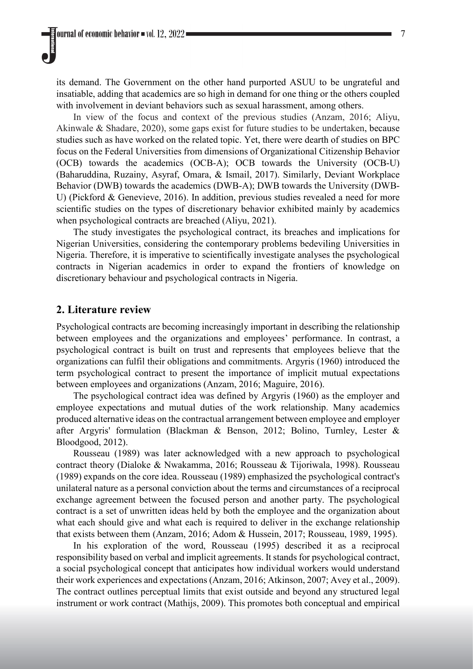its demand. The Government on the other hand purported ASUU to be ungrateful and insatiable, adding that academics are so high in demand for one thing or the others coupled with involvement in deviant behaviors such as sexual harassment, among others.

In view of the focus and context of the previous studies (Anzam, 2016; Aliyu, Akinwale & Shadare, 2020), some gaps exist for future studies to be undertaken, because studies such as have worked on the related topic. Yet, there were dearth of studies on BPC focus on the Federal Universities from dimensions of Organizational Citizenship Behavior (OCB) towards the academics (OCB-A); OCB towards the University (OCB-U) (Baharuddina, Ruzainy, Asyraf, Omara, & Ismail, 2017). Similarly, Deviant Workplace Behavior (DWB) towards the academics (DWB-A); DWB towards the University (DWB-U) (Pickford & Genevieve, 2016). In addition, previous studies revealed a need for more scientific studies on the types of discretionary behavior exhibited mainly by academics when psychological contracts are breached (Aliyu, 2021).

The study investigates the psychological contract, its breaches and implications for Nigerian Universities, considering the contemporary problems bedeviling Universities in Nigeria. Therefore, it is imperative to scientifically investigate analyses the psychological contracts in Nigerian academics in order to expand the frontiers of knowledge on discretionary behaviour and psychological contracts in Nigeria.

# **2. Literature review**

Psychological contracts are becoming increasingly important in describing the relationship between employees and the organizations and employees' performance. In contrast, a psychological contract is built on trust and represents that employees believe that the organizations can fulfil their obligations and commitments. Argyris (1960) introduced the term psychological contract to present the importance of implicit mutual expectations between employees and organizations (Anzam, 2016; Maguire, 2016).

The psychological contract idea was defined by Argyris (1960) as the employer and employee expectations and mutual duties of the work relationship. Many academics produced alternative ideas on the contractual arrangement between employee and employer after Argyris' formulation (Blackman & Benson, 2012; Bolino, Turnley, Lester & Bloodgood, 2012).

Rousseau (1989) was later acknowledged with a new approach to psychological contract theory (Dialoke & Nwakamma, 2016; Rousseau & Tijoriwala, 1998). Rousseau (1989) expands on the core idea. Rousseau (1989) emphasized the psychological contract's unilateral nature as a personal conviction about the terms and circumstances of a reciprocal exchange agreement between the focused person and another party. The psychological contract is a set of unwritten ideas held by both the employee and the organization about what each should give and what each is required to deliver in the exchange relationship that exists between them (Anzam, 2016; Adom & Hussein, 2017; Rousseau, 1989, 1995).

In his exploration of the word, Rousseau (1995) described it as a reciprocal responsibility based on verbal and implicit agreements. It stands for psychological contract, a social psychological concept that anticipates how individual workers would understand their work experiences and expectations (Anzam, 2016; Atkinson, 2007; Avey et al., 2009). The contract outlines perceptual limits that exist outside and beyond any structured legal instrument or work contract (Mathijs, 2009). This promotes both conceptual and empirical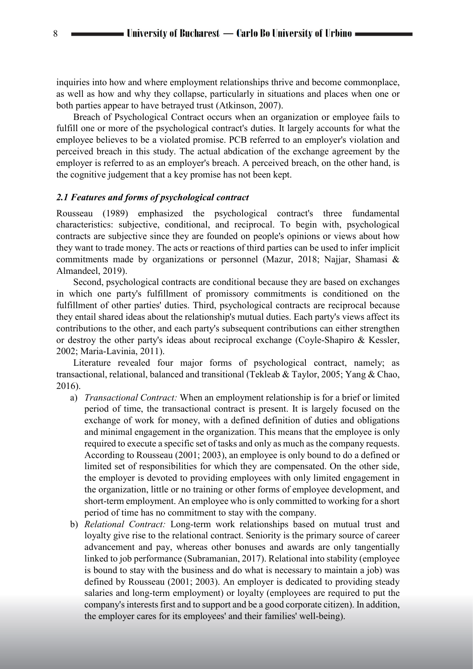inquiries into how and where employment relationships thrive and become commonplace, as well as how and why they collapse, particularly in situations and places when one or both parties appear to have betrayed trust (Atkinson, 2007).

Breach of Psychological Contract occurs when an organization or employee fails to fulfill one or more of the psychological contract's duties. It largely accounts for what the employee believes to be a violated promise. PCB referred to an employer's violation and perceived breach in this study. The actual abdication of the exchange agreement by the employer is referred to as an employer's breach. A perceived breach, on the other hand, is the cognitive judgement that a key promise has not been kept.

#### *2.1 Features and forms of psychological contract*

Rousseau (1989) emphasized the psychological contract's three fundamental characteristics: subjective, conditional, and reciprocal. To begin with, psychological contracts are subjective since they are founded on people's opinions or views about how they want to trade money. The acts or reactions of third parties can be used to infer implicit commitments made by organizations or personnel (Mazur, 2018; Najjar, Shamasi & Almandeel, 2019).

Second, psychological contracts are conditional because they are based on exchanges in which one party's fulfillment of promissory commitments is conditioned on the fulfillment of other parties' duties. Third, psychological contracts are reciprocal because they entail shared ideas about the relationship's mutual duties. Each party's views affect its contributions to the other, and each party's subsequent contributions can either strengthen or destroy the other party's ideas about reciprocal exchange (Coyle-Shapiro & Kessler, 2002; Maria-Lavinia, 2011).

Literature revealed four major forms of psychological contract, namely; as transactional, relational, balanced and transitional (Tekleab & Taylor, 2005; Yang & Chao, 2016).

- a) *Transactional Contract:* When an employment relationship is for a brief or limited period of time, the transactional contract is present. It is largely focused on the exchange of work for money, with a defined definition of duties and obligations and minimal engagement in the organization. This means that the employee is only required to execute a specific set of tasks and only as much as the company requests. According to Rousseau (2001; 2003), an employee is only bound to do a defined or limited set of responsibilities for which they are compensated. On the other side, the employer is devoted to providing employees with only limited engagement in the organization, little or no training or other forms of employee development, and short-term employment. An employee who is only committed to working for a short period of time has no commitment to stay with the company.
- b) *Relational Contract:* Long-term work relationships based on mutual trust and loyalty give rise to the relational contract. Seniority is the primary source of career advancement and pay, whereas other bonuses and awards are only tangentially linked to job performance (Subramanian, 2017). Relational into stability (employee is bound to stay with the business and do what is necessary to maintain a job) was defined by Rousseau (2001; 2003). An employer is dedicated to providing steady salaries and long-term employment) or loyalty (employees are required to put the company's interests first and to support and be a good corporate citizen). In addition, the employer cares for its employees' and their families' well-being).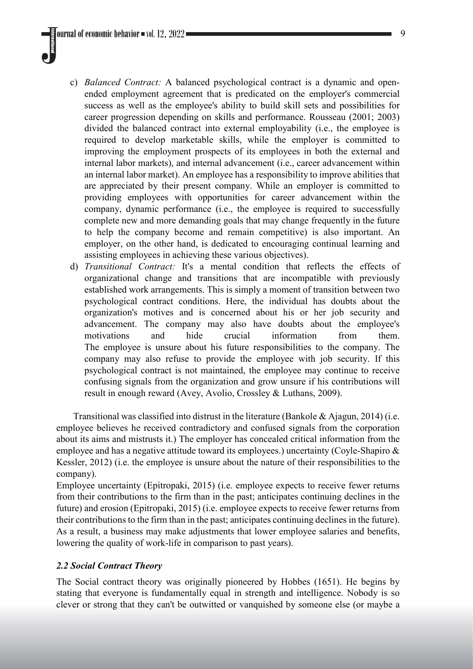- c) *Balanced Contract:* A balanced psychological contract is a dynamic and openended employment agreement that is predicated on the employer's commercial success as well as the employee's ability to build skill sets and possibilities for career progression depending on skills and performance. Rousseau (2001; 2003) divided the balanced contract into external employability (i.e., the employee is required to develop marketable skills, while the employer is committed to improving the employment prospects of its employees in both the external and internal labor markets), and internal advancement (i.e., career advancement within an internal labor market). An employee has a responsibility to improve abilities that are appreciated by their present company. While an employer is committed to providing employees with opportunities for career advancement within the company, dynamic performance (i.e., the employee is required to successfully complete new and more demanding goals that may change frequently in the future to help the company become and remain competitive) is also important. An employer, on the other hand, is dedicated to encouraging continual learning and assisting employees in achieving these various objectives).
- d) *Transitional Contract:* It's a mental condition that reflects the effects of organizational change and transitions that are incompatible with previously established work arrangements. This is simply a moment of transition between two psychological contract conditions. Here, the individual has doubts about the organization's motives and is concerned about his or her job security and advancement. The company may also have doubts about the employee's motivations and hide crucial information from them. The employee is unsure about his future responsibilities to the company. The company may also refuse to provide the employee with job security. If this psychological contract is not maintained, the employee may continue to receive confusing signals from the organization and grow unsure if his contributions will result in enough reward (Avey, Avolio, Crossley & Luthans, 2009).

Transitional was classified into distrust in the literature (Bankole & Ajagun, 2014) (i.e. employee believes he received contradictory and confused signals from the corporation about its aims and mistrusts it.) The employer has concealed critical information from the employee and has a negative attitude toward its employees.) uncertainty (Coyle-Shapiro & Kessler, 2012) (i.e. the employee is unsure about the nature of their responsibilities to the company).

Employee uncertainty (Epitropaki, 2015) (i.e. employee expects to receive fewer returns from their contributions to the firm than in the past; anticipates continuing declines in the future) and erosion (Epitropaki, 2015) (i.e. employee expects to receive fewer returns from their contributions to the firm than in the past; anticipates continuing declines in the future). As a result, a business may make adjustments that lower employee salaries and benefits, lowering the quality of work-life in comparison to past years).

#### *2.2 Social Contract Theory*

The Social contract theory was originally pioneered by Hobbes (1651). He begins by stating that everyone is fundamentally equal in strength and intelligence. Nobody is so clever or strong that they can't be outwitted or vanquished by someone else (or maybe a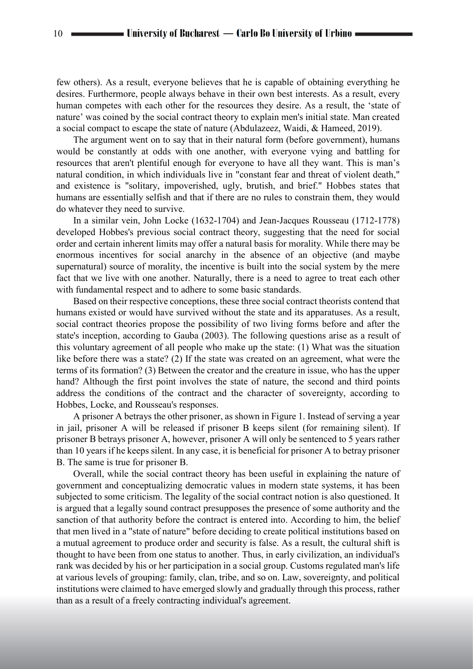few others). As a result, everyone believes that he is capable of obtaining everything he desires. Furthermore, people always behave in their own best interests. As a result, every human competes with each other for the resources they desire. As a result, the 'state of nature' was coined by the social contract theory to explain men's initial state. Man created a social compact to escape the state of nature (Abdulazeez, Waidi, & Hameed, 2019).

The argument went on to say that in their natural form (before government), humans would be constantly at odds with one another, with everyone vying and battling for resources that aren't plentiful enough for everyone to have all they want. This is man's natural condition, in which individuals live in "constant fear and threat of violent death," and existence is "solitary, impoverished, ugly, brutish, and brief." Hobbes states that humans are essentially selfish and that if there are no rules to constrain them, they would do whatever they need to survive.

In a similar vein, John Locke (1632-1704) and Jean-Jacques Rousseau (1712-1778) developed Hobbes's previous social contract theory, suggesting that the need for social order and certain inherent limits may offer a natural basis for morality. While there may be enormous incentives for social anarchy in the absence of an objective (and maybe supernatural) source of morality, the incentive is built into the social system by the mere fact that we live with one another. Naturally, there is a need to agree to treat each other with fundamental respect and to adhere to some basic standards.

Based on their respective conceptions, these three social contract theorists contend that humans existed or would have survived without the state and its apparatuses. As a result, social contract theories propose the possibility of two living forms before and after the state's inception, according to Gauba (2003). The following questions arise as a result of this voluntary agreement of all people who make up the state: (1) What was the situation like before there was a state? (2) If the state was created on an agreement, what were the terms of its formation? (3) Between the creator and the creature in issue, who has the upper hand? Although the first point involves the state of nature, the second and third points address the conditions of the contract and the character of sovereignty, according to Hobbes, Locke, and Rousseau's responses.

A prisoner A betrays the other prisoner, as shown in Figure 1. Instead of serving a year in jail, prisoner A will be released if prisoner B keeps silent (for remaining silent). If prisoner B betrays prisoner A, however, prisoner A will only be sentenced to 5 years rather than 10 years if he keeps silent. In any case, it is beneficial for prisoner A to betray prisoner B. The same is true for prisoner B.

Overall, while the social contract theory has been useful in explaining the nature of government and conceptualizing democratic values in modern state systems, it has been subjected to some criticism. The legality of the social contract notion is also questioned. It is argued that a legally sound contract presupposes the presence of some authority and the sanction of that authority before the contract is entered into. According to him, the belief that men lived in a "state of nature" before deciding to create political institutions based on a mutual agreement to produce order and security is false. As a result, the cultural shift is thought to have been from one status to another. Thus, in early civilization, an individual's rank was decided by his or her participation in a social group. Customs regulated man's life at various levels of grouping: family, clan, tribe, and so on. Law, sovereignty, and political institutions were claimed to have emerged slowly and gradually through this process, rather than as a result of a freely contracting individual's agreement.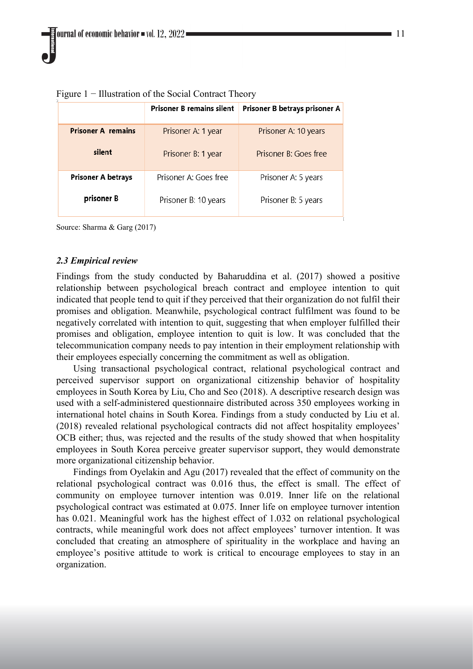|                           | <b>Prisoner B remains silent</b> | Prisoner B betrays prisoner A |
|---------------------------|----------------------------------|-------------------------------|
| <b>Prisoner A remains</b> | Prisoner A: 1 year               | Prisoner A: 10 years          |
| silent                    | Prisoner B: 1 year               | Prisoner B: Goes free         |
| Prisoner A betrays        | Prisoner A: Goes free            | Prisoner A: 5 years           |
| prisoner B                | Prisoner B: 10 years             | Prisoner B: 5 years           |

Figure 1 − Illustration of the Social Contract Theory

Source: Sharma & Garg (2017)

## *2.3 Empirical review*

Findings from the study conducted by Baharuddina et al. (2017) showed a positive relationship between psychological breach contract and employee intention to quit indicated that people tend to quit if they perceived that their organization do not fulfil their promises and obligation. Meanwhile, psychological contract fulfilment was found to be negatively correlated with intention to quit, suggesting that when employer fulfilled their promises and obligation, employee intention to quit is low. It was concluded that the telecommunication company needs to pay intention in their employment relationship with their employees especially concerning the commitment as well as obligation.

Using transactional psychological contract, relational psychological contract and perceived supervisor support on organizational citizenship behavior of hospitality employees in South Korea by Liu, Cho and Seo (2018). A descriptive research design was used with a self-administered questionnaire distributed across 350 employees working in international hotel chains in South Korea. Findings from a study conducted by Liu et al. (2018) revealed relational psychological contracts did not affect hospitality employees' OCB either; thus, was rejected and the results of the study showed that when hospitality employees in South Korea perceive greater supervisor support, they would demonstrate more organizational citizenship behavior.

Findings from Oyelakin and Agu (2017) revealed that the effect of community on the relational psychological contract was 0.016 thus, the effect is small. The effect of community on employee turnover intention was 0.019. Inner life on the relational psychological contract was estimated at 0.075. Inner life on employee turnover intention has 0.021. Meaningful work has the highest effect of 1.032 on relational psychological contracts, while meaningful work does not affect employees' turnover intention. It was concluded that creating an atmosphere of spirituality in the workplace and having an employee's positive attitude to work is critical to encourage employees to stay in an organization.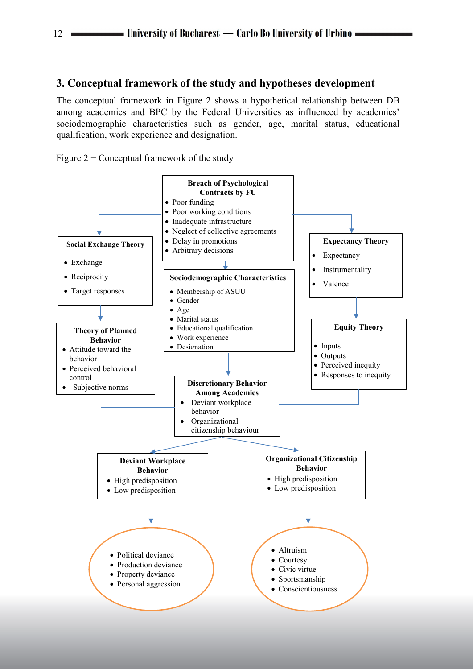# **3. Conceptual framework of the study and hypotheses development**

The conceptual framework in Figure 2 shows a hypothetical relationship between DB among academics and BPC by the Federal Universities as influenced by academics' sociodemographic characteristics such as gender, age, marital status, educational qualification, work experience and designation.





 $12$   $\blacksquare$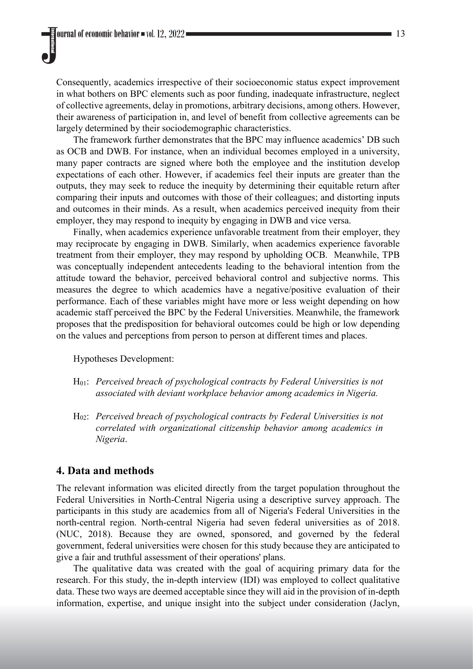Consequently, academics irrespective of their socioeconomic status expect improvement in what bothers on BPC elements such as poor funding, inadequate infrastructure, neglect of collective agreements, delay in promotions, arbitrary decisions, among others. However, their awareness of participation in, and level of benefit from collective agreements can be largely determined by their sociodemographic characteristics.

The framework further demonstrates that the BPC may influence academics' DB such as OCB and DWB. For instance, when an individual becomes employed in a university, many paper contracts are signed where both the employee and the institution develop expectations of each other. However, if academics feel their inputs are greater than the outputs, they may seek to reduce the inequity by determining their equitable return after comparing their inputs and outcomes with those of their colleagues; and distorting inputs and outcomes in their minds. As a result, when academics perceived inequity from their employer, they may respond to inequity by engaging in DWB and vice versa.

Finally, when academics experience unfavorable treatment from their employer, they may reciprocate by engaging in DWB. Similarly, when academics experience favorable treatment from their employer, they may respond by upholding OCB. Meanwhile, TPB was conceptually independent antecedents leading to the behavioral intention from the attitude toward the behavior, perceived behavioral control and subjective norms. This measures the degree to which academics have a negative/positive evaluation of their performance. Each of these variables might have more or less weight depending on how academic staff perceived the BPC by the Federal Universities. Meanwhile, the framework proposes that the predisposition for behavioral outcomes could be high or low depending on the values and perceptions from person to person at different times and places.

Hypotheses Development:

- H01: *Perceived breach of psychological contracts by Federal Universities is not associated with deviant workplace behavior among academics in Nigeria.*
- H02: *Perceived breach of psychological contracts by Federal Universities is not correlated with organizational citizenship behavior among academics in Nigeria*.

# **4. Data and methods**

The relevant information was elicited directly from the target population throughout the Federal Universities in North-Central Nigeria using a descriptive survey approach. The participants in this study are academics from all of Nigeria's Federal Universities in the north-central region. North-central Nigeria had seven federal universities as of 2018. (NUC, 2018). Because they are owned, sponsored, and governed by the federal government, federal universities were chosen for this study because they are anticipated to give a fair and truthful assessment of their operations' plans.

The qualitative data was created with the goal of acquiring primary data for the research. For this study, the in-depth interview (IDI) was employed to collect qualitative data. These two ways are deemed acceptable since they will aid in the provision of in-depth information, expertise, and unique insight into the subject under consideration (Jaclyn,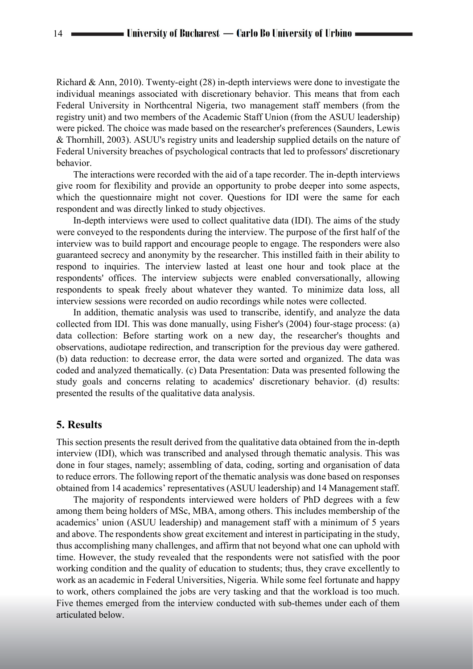Richard & Ann, 2010). Twenty-eight (28) in-depth interviews were done to investigate the individual meanings associated with discretionary behavior. This means that from each Federal University in Northcentral Nigeria, two management staff members (from the registry unit) and two members of the Academic Staff Union (from the ASUU leadership) were picked. The choice was made based on the researcher's preferences (Saunders, Lewis & Thornhill, 2003). ASUU's registry units and leadership supplied details on the nature of Federal University breaches of psychological contracts that led to professors' discretionary behavior.

The interactions were recorded with the aid of a tape recorder. The in-depth interviews give room for flexibility and provide an opportunity to probe deeper into some aspects, which the questionnaire might not cover. Questions for IDI were the same for each respondent and was directly linked to study objectives.

In-depth interviews were used to collect qualitative data (IDI). The aims of the study were conveyed to the respondents during the interview. The purpose of the first half of the interview was to build rapport and encourage people to engage. The responders were also guaranteed secrecy and anonymity by the researcher. This instilled faith in their ability to respond to inquiries. The interview lasted at least one hour and took place at the respondents' offices. The interview subjects were enabled conversationally, allowing respondents to speak freely about whatever they wanted. To minimize data loss, all interview sessions were recorded on audio recordings while notes were collected.

In addition, thematic analysis was used to transcribe, identify, and analyze the data collected from IDI. This was done manually, using Fisher's (2004) four-stage process: (a) data collection: Before starting work on a new day, the researcher's thoughts and observations, audiotape redirection, and transcription for the previous day were gathered. (b) data reduction: to decrease error, the data were sorted and organized. The data was coded and analyzed thematically. (c) Data Presentation: Data was presented following the study goals and concerns relating to academics' discretionary behavior. (d) results: presented the results of the qualitative data analysis.

## **5. Results**

This section presents the result derived from the qualitative data obtained from the in-depth interview (IDI), which was transcribed and analysed through thematic analysis. This was done in four stages, namely; assembling of data, coding, sorting and organisation of data to reduce errors. The following report of the thematic analysis was done based on responses obtained from 14 academics' representatives (ASUU leadership) and 14 Management staff.

The majority of respondents interviewed were holders of PhD degrees with a few among them being holders of MSc, MBA, among others. This includes membership of the academics' union (ASUU leadership) and management staff with a minimum of 5 years and above. The respondents show great excitement and interest in participating in the study, thus accomplishing many challenges, and affirm that not beyond what one can uphold with time. However, the study revealed that the respondents were not satisfied with the poor working condition and the quality of education to students; thus, they crave excellently to work as an academic in Federal Universities, Nigeria. While some feel fortunate and happy to work, others complained the jobs are very tasking and that the workload is too much. Five themes emerged from the interview conducted with sub-themes under each of them articulated below.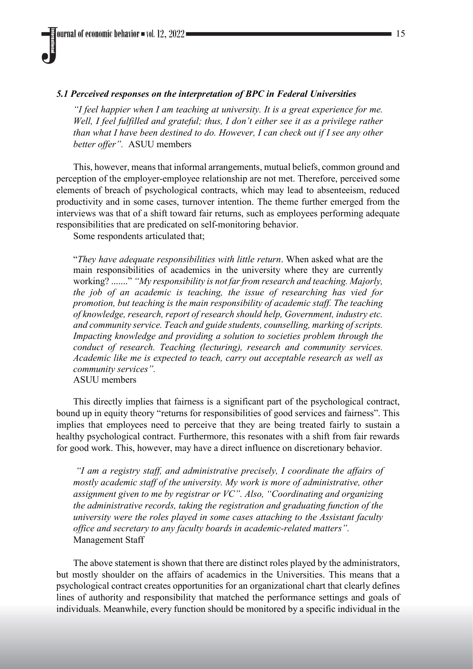## *5.1 Perceived responses on the interpretation of BPC in Federal Universities*

*"I feel happier when I am teaching at university. It is a great experience for me. Well, I feel fulfilled and grateful; thus, I don't either see it as a privilege rather than what I have been destined to do. However, I can check out if I see any other better offer".* ASUU members

This, however, means that informal arrangements, mutual beliefs, common ground and perception of the employer-employee relationship are not met. Therefore, perceived some elements of breach of psychological contracts, which may lead to absenteeism, reduced productivity and in some cases, turnover intention. The theme further emerged from the interviews was that of a shift toward fair returns, such as employees performing adequate responsibilities that are predicated on self-monitoring behavior.

Some respondents articulated that;

"*They have adequate responsibilities with little return*. When asked what are the main responsibilities of academics in the university where they are currently working? ......." *"My responsibility is not far from research and teaching. Majorly, the job of an academic is teaching, the issue of researching has vied for promotion, but teaching is the main responsibility of academic staff. The teaching of knowledge, research, report of research should help, Government, industry etc. and community service. Teach and guide students, counselling, marking of scripts. Impacting knowledge and providing a solution to societies problem through the conduct of research. Teaching (lecturing), research and community services. Academic like me is expected to teach, carry out acceptable research as well as community services".*  ASUU members

This directly implies that fairness is a significant part of the psychological contract, bound up in equity theory "returns for responsibilities of good services and fairness". This implies that employees need to perceive that they are being treated fairly to sustain a healthy psychological contract. Furthermore, this resonates with a shift from fair rewards for good work. This, however, may have a direct influence on discretionary behavior.

*"I am a registry staff, and administrative precisely, I coordinate the affairs of mostly academic staff of the university. My work is more of administrative, other assignment given to me by registrar or VC". Also, "Coordinating and organizing the administrative records, taking the registration and graduating function of the university were the roles played in some cases attaching to the Assistant faculty office and secretary to any faculty boards in academic-related matters".* Management Staff

The above statement is shown that there are distinct roles played by the administrators, but mostly shoulder on the affairs of academics in the Universities. This means that a psychological contract creates opportunities for an organizational chart that clearly defines lines of authority and responsibility that matched the performance settings and goals of individuals. Meanwhile, every function should be monitored by a specific individual in the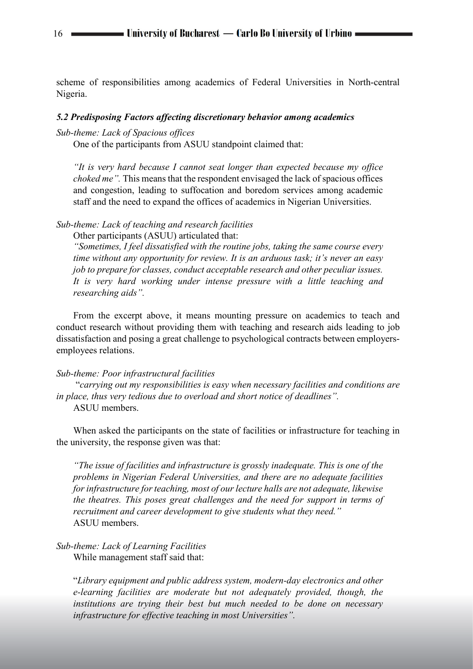scheme of responsibilities among academics of Federal Universities in North-central Nigeria.

#### *5.2 Predisposing Factors affecting discretionary behavior among academics*

#### *Sub-theme: Lack of Spacious offices*

One of the participants from ASUU standpoint claimed that:

*"It is very hard because I cannot seat longer than expected because my office choked me".* This means that the respondent envisaged the lack of spacious offices and congestion, leading to suffocation and boredom services among academic staff and the need to expand the offices of academics in Nigerian Universities.

# *Sub-theme: Lack of teaching and research facilities*

Other participants (ASUU) articulated that:

*"Sometimes, I feel dissatisfied with the routine jobs, taking the same course every time without any opportunity for review. It is an arduous task; it's never an easy job to prepare for classes, conduct acceptable research and other peculiar issues. It is very hard working under intense pressure with a little teaching and researching aids".* 

From the excerpt above, it means mounting pressure on academics to teach and conduct research without providing them with teaching and research aids leading to job dissatisfaction and posing a great challenge to psychological contracts between employersemployees relations.

#### *Sub-theme: Poor infrastructural facilities*

"*carrying out my responsibilities is easy when necessary facilities and conditions are in place, thus very tedious due to overload and short notice of deadlines".*  ASUU members.

When asked the participants on the state of facilities or infrastructure for teaching in the university, the response given was that:

*"The issue of facilities and infrastructure is grossly inadequate. This is one of the problems in Nigerian Federal Universities, and there are no adequate facilities for infrastructure for teaching, most of our lecture halls are not adequate, likewise the theatres. This poses great challenges and the need for support in terms of recruitment and career development to give students what they need."*  ASUU members.

## *Sub-theme: Lack of Learning Facilities* While management staff said that:

"*Library equipment and public address system, modern-day electronics and other e-learning facilities are moderate but not adequately provided, though, the institutions are trying their best but much needed to be done on necessary infrastructure for effective teaching in most Universities".*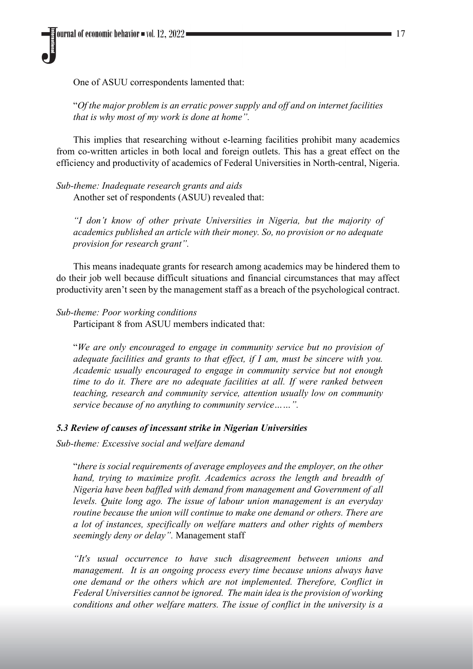One of ASUU correspondents lamented that:

"*Of the major problem is an erratic power supply and off and on internet facilities that is why most of my work is done at home".*

This implies that researching without e-learning facilities prohibit many academics from co-written articles in both local and foreign outlets. This has a great effect on the efficiency and productivity of academics of Federal Universities in North-central, Nigeria.

*Sub-theme: Inadequate research grants and aids* Another set of respondents (ASUU) revealed that:

*"I don't know of other private Universities in Nigeria, but the majority of academics published an article with their money. So, no provision or no adequate provision for research grant".*

This means inadequate grants for research among academics may be hindered them to do their job well because difficult situations and financial circumstances that may affect productivity aren't seen by the management staff as a breach of the psychological contract.

*Sub-theme: Poor working conditions*

Participant 8 from ASUU members indicated that:

"*We are only encouraged to engage in community service but no provision of adequate facilities and grants to that effect, if I am, must be sincere with you. Academic usually encouraged to engage in community service but not enough time to do it. There are no adequate facilities at all. If were ranked between teaching, research and community service, attention usually low on community service because of no anything to community service……".* 

## *5.3 Review of causes of incessant strike in Nigerian Universities*

*Sub-theme: Excessive social and welfare demand*

"*there is social requirements of average employees and the employer, on the other hand, trying to maximize profit. Academics across the length and breadth of Nigeria have been baffled with demand from management and Government of all levels. Quite long ago. The issue of labour union management is an everyday routine because the union will continue to make one demand or others. There are a lot of instances, specifically on welfare matters and other rights of members seemingly deny or delay".* Management staff

*"It's usual occurrence to have such disagreement between unions and management. It is an ongoing process every time because unions always have one demand or the others which are not implemented. Therefore, Conflict in Federal Universities cannot be ignored. The main idea is the provision of working conditions and other welfare matters. The issue of conflict in the university is a*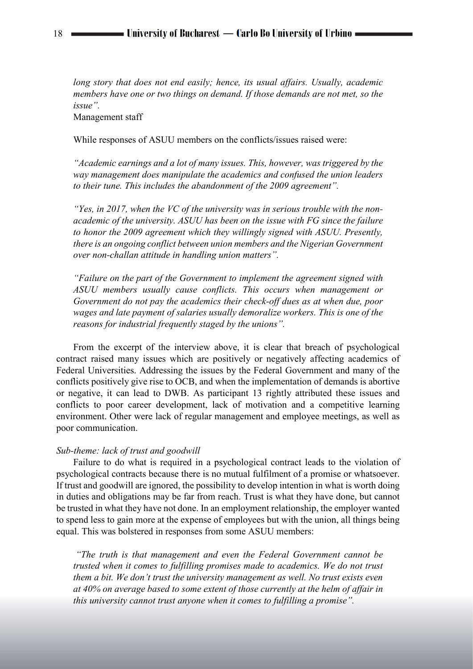*long story that does not end easily; hence, its usual affairs. Usually, academic members have one or two things on demand. If those demands are not met, so the issue".* 

Management staff

While responses of ASUU members on the conflicts/issues raised were:

*"Academic earnings and a lot of many issues. This, however, was triggered by the way management does manipulate the academics and confused the union leaders to their tune. This includes the abandonment of the 2009 agreement".* 

*"Yes, in 2017, when the VC of the university was in serious trouble with the nonacademic of the university. ASUU has been on the issue with FG since the failure to honor the 2009 agreement which they willingly signed with ASUU. Presently, there is an ongoing conflict between union members and the Nigerian Government over non-challan attitude in handling union matters".* 

*"Failure on the part of the Government to implement the agreement signed with ASUU members usually cause conflicts. This occurs when management or Government do not pay the academics their check-off dues as at when due, poor wages and late payment of salaries usually demoralize workers. This is one of the reasons for industrial frequently staged by the unions".* 

From the excerpt of the interview above, it is clear that breach of psychological contract raised many issues which are positively or negatively affecting academics of Federal Universities. Addressing the issues by the Federal Government and many of the conflicts positively give rise to OCB, and when the implementation of demands is abortive or negative, it can lead to DWB. As participant 13 rightly attributed these issues and conflicts to poor career development, lack of motivation and a competitive learning environment. Other were lack of regular management and employee meetings, as well as poor communication.

#### *Sub-theme: lack of trust and goodwill*

Failure to do what is required in a psychological contract leads to the violation of psychological contracts because there is no mutual fulfilment of a promise or whatsoever. If trust and goodwill are ignored, the possibility to develop intention in what is worth doing in duties and obligations may be far from reach. Trust is what they have done, but cannot be trusted in what they have not done. In an employment relationship, the employer wanted to spend less to gain more at the expense of employees but with the union, all things being equal. This was bolstered in responses from some ASUU members:

*"The truth is that management and even the Federal Government cannot be trusted when it comes to fulfilling promises made to academics. We do not trust them a bit. We don't trust the university management as well. No trust exists even at 40% on average based to some extent of those currently at the helm of affair in this university cannot trust anyone when it comes to fulfilling a promise".*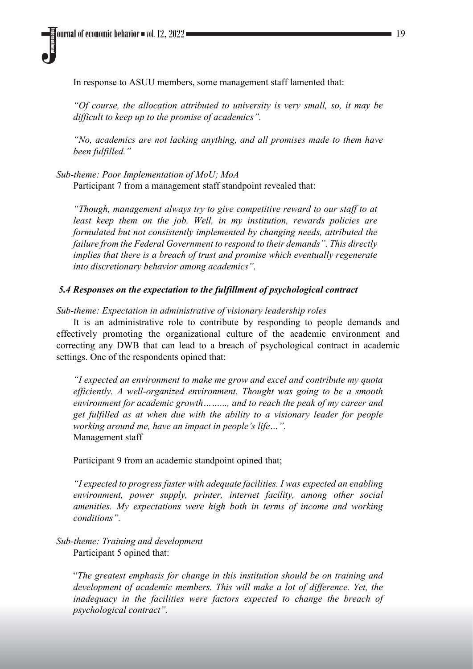In response to ASUU members, some management staff lamented that:

*"Of course, the allocation attributed to university is very small, so, it may be difficult to keep up to the promise of academics".* 

*"No, academics are not lacking anything, and all promises made to them have been fulfilled."*

*Sub-theme: Poor Implementation of MoU; MoA*

Participant 7 from a management staff standpoint revealed that:

*"Though, management always try to give competitive reward to our staff to at least keep them on the job. Well, in my institution, rewards policies are formulated but not consistently implemented by changing needs, attributed the failure from the Federal Government to respond to their demands". This directly implies that there is a breach of trust and promise which eventually regenerate into discretionary behavior among academics".*

## *5.4 Responses on the expectation to the fulfillment of psychological contract*

*Sub-theme: Expectation in administrative of visionary leadership roles* 

It is an administrative role to contribute by responding to people demands and effectively promoting the organizational culture of the academic environment and correcting any DWB that can lead to a breach of psychological contract in academic settings. One of the respondents opined that:

*"I expected an environment to make me grow and excel and contribute my quota efficiently. A well-organized environment. Thought was going to be a smooth environment for academic growth……..., and to reach the peak of my career and get fulfilled as at when due with the ability to a visionary leader for people working around me, have an impact in people's life…".* Management staff

Participant 9 from an academic standpoint opined that;

*"I expected to progress faster with adequate facilities. I was expected an enabling environment, power supply, printer, internet facility, among other social amenities. My expectations were high both in terms of income and working conditions".*

## *Sub-theme: Training and development* Participant 5 opined that:

"*The greatest emphasis for change in this institution should be on training and development of academic members. This will make a lot of difference. Yet, the inadequacy in the facilities were factors expected to change the breach of psychological contract".*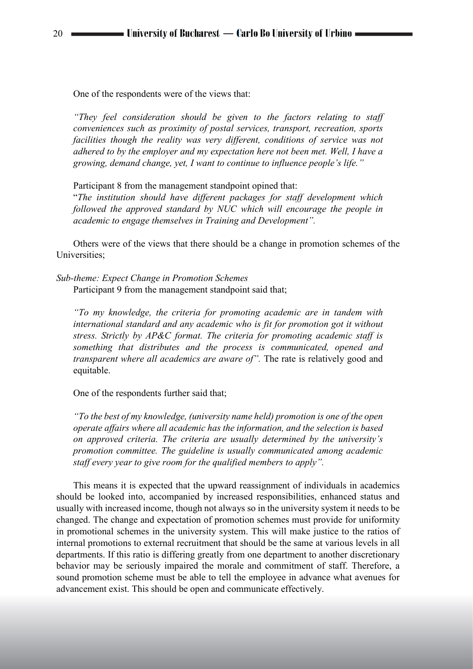One of the respondents were of the views that:

*"They feel consideration should be given to the factors relating to staff conveniences such as proximity of postal services, transport, recreation, sports facilities though the reality was very different, conditions of service was not adhered to by the employer and my expectation here not been met. Well, I have a growing, demand change, yet, I want to continue to influence people's life."*

Participant 8 from the management standpoint opined that:

"*The institution should have different packages for staff development which followed the approved standard by NUC which will encourage the people in academic to engage themselves in Training and Development".* 

Others were of the views that there should be a change in promotion schemes of the Universities;

*Sub-theme: Expect Change in Promotion Schemes* Participant 9 from the management standpoint said that;

*"To my knowledge, the criteria for promoting academic are in tandem with international standard and any academic who is fit for promotion got it without stress. Strictly by AP&C format. The criteria for promoting academic staff is something that distributes and the process is communicated, opened and transparent where all academics are aware of"*. The rate is relatively good and equitable.

One of the respondents further said that;

*"To the best of my knowledge, (university name held) promotion is one of the open operate affairs where all academic has the information, and the selection is based on approved criteria. The criteria are usually determined by the university's promotion committee. The guideline is usually communicated among academic staff every year to give room for the qualified members to apply".* 

This means it is expected that the upward reassignment of individuals in academics should be looked into, accompanied by increased responsibilities, enhanced status and usually with increased income, though not always so in the university system it needs to be changed. The change and expectation of promotion schemes must provide for uniformity in promotional schemes in the university system. This will make justice to the ratios of internal promotions to external recruitment that should be the same at various levels in all departments. If this ratio is differing greatly from one department to another discretionary behavior may be seriously impaired the morale and commitment of staff. Therefore, a sound promotion scheme must be able to tell the employee in advance what avenues for advancement exist. This should be open and communicate effectively.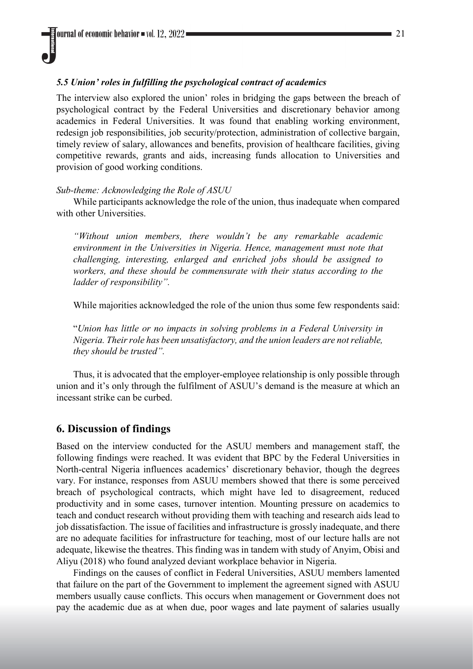## *5.5 Union' roles in fulfilling the psychological contract of academics*

The interview also explored the union' roles in bridging the gaps between the breach of psychological contract by the Federal Universities and discretionary behavior among academics in Federal Universities. It was found that enabling working environment, redesign job responsibilities, job security/protection, administration of collective bargain, timely review of salary, allowances and benefits, provision of healthcare facilities, giving competitive rewards, grants and aids, increasing funds allocation to Universities and provision of good working conditions.

#### *Sub-theme: Acknowledging the Role of ASUU*

While participants acknowledge the role of the union, thus inadequate when compared with other Universities.

*"Without union members, there wouldn't be any remarkable academic environment in the Universities in Nigeria. Hence, management must note that challenging, interesting, enlarged and enriched jobs should be assigned to workers, and these should be commensurate with their status according to the ladder of responsibility".* 

While majorities acknowledged the role of the union thus some few respondents said:

"*Union has little or no impacts in solving problems in a Federal University in Nigeria. Their role has been unsatisfactory, and the union leaders are not reliable, they should be trusted".*

Thus, it is advocated that the employer-employee relationship is only possible through union and it's only through the fulfilment of ASUU's demand is the measure at which an incessant strike can be curbed.

## **6. Discussion of findings**

Based on the interview conducted for the ASUU members and management staff, the following findings were reached. It was evident that BPC by the Federal Universities in North-central Nigeria influences academics' discretionary behavior, though the degrees vary. For instance, responses from ASUU members showed that there is some perceived breach of psychological contracts, which might have led to disagreement, reduced productivity and in some cases, turnover intention. Mounting pressure on academics to teach and conduct research without providing them with teaching and research aids lead to job dissatisfaction. The issue of facilities and infrastructure is grossly inadequate, and there are no adequate facilities for infrastructure for teaching, most of our lecture halls are not adequate, likewise the theatres. This finding was in tandem with study of Anyim, Obisi and Aliyu (2018) who found analyzed deviant workplace behavior in Nigeria.

Findings on the causes of conflict in Federal Universities, ASUU members lamented that failure on the part of the Government to implement the agreement signed with ASUU members usually cause conflicts. This occurs when management or Government does not pay the academic due as at when due, poor wages and late payment of salaries usually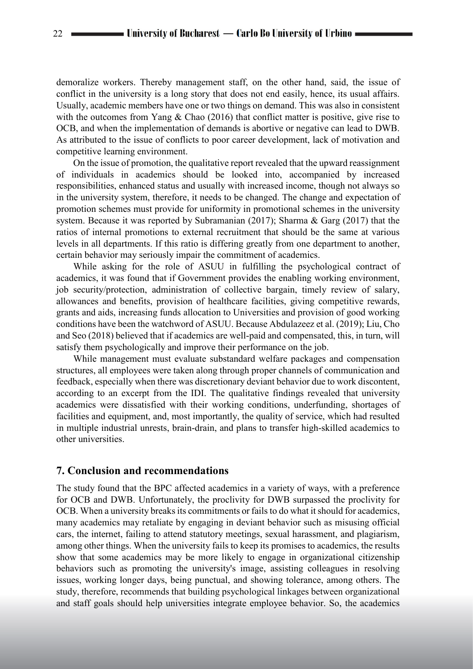demoralize workers. Thereby management staff, on the other hand, said, the issue of conflict in the university is a long story that does not end easily, hence, its usual affairs. Usually, academic members have one or two things on demand. This was also in consistent with the outcomes from Yang & Chao (2016) that conflict matter is positive, give rise to OCB, and when the implementation of demands is abortive or negative can lead to DWB. As attributed to the issue of conflicts to poor career development, lack of motivation and competitive learning environment.

On the issue of promotion, the qualitative report revealed that the upward reassignment of individuals in academics should be looked into, accompanied by increased responsibilities, enhanced status and usually with increased income, though not always so in the university system, therefore, it needs to be changed. The change and expectation of promotion schemes must provide for uniformity in promotional schemes in the university system. Because it was reported by Subramanian (2017); Sharma & Garg (2017) that the ratios of internal promotions to external recruitment that should be the same at various levels in all departments. If this ratio is differing greatly from one department to another, certain behavior may seriously impair the commitment of academics.

While asking for the role of ASUU in fulfilling the psychological contract of academics, it was found that if Government provides the enabling working environment, job security/protection, administration of collective bargain, timely review of salary, allowances and benefits, provision of healthcare facilities, giving competitive rewards, grants and aids, increasing funds allocation to Universities and provision of good working conditions have been the watchword of ASUU. Because Abdulazeez et al. (2019); Liu, Cho and Seo (2018) believed that if academics are well-paid and compensated, this, in turn, will satisfy them psychologically and improve their performance on the job.

While management must evaluate substandard welfare packages and compensation structures, all employees were taken along through proper channels of communication and feedback, especially when there was discretionary deviant behavior due to work discontent, according to an excerpt from the IDI. The qualitative findings revealed that university academics were dissatisfied with their working conditions, underfunding, shortages of facilities and equipment, and, most importantly, the quality of service, which had resulted in multiple industrial unrests, brain-drain, and plans to transfer high-skilled academics to other universities.

# **7. Conclusion and recommendations**

The study found that the BPC affected academics in a variety of ways, with a preference for OCB and DWB. Unfortunately, the proclivity for DWB surpassed the proclivity for OCB. When a university breaks its commitments or fails to do what it should for academics, many academics may retaliate by engaging in deviant behavior such as misusing official cars, the internet, failing to attend statutory meetings, sexual harassment, and plagiarism, among other things. When the university fails to keep its promises to academics, the results show that some academics may be more likely to engage in organizational citizenship behaviors such as promoting the university's image, assisting colleagues in resolving issues, working longer days, being punctual, and showing tolerance, among others. The study, therefore, recommends that building psychological linkages between organizational and staff goals should help universities integrate employee behavior. So, the academics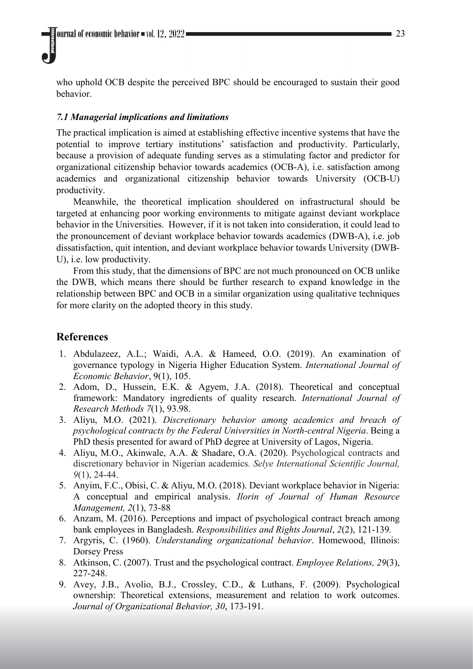who uphold OCB despite the perceived BPC should be encouraged to sustain their good behavior.

#### *7.1 Managerial implications and limitations*

The practical implication is aimed at establishing effective incentive systems that have the potential to improve tertiary institutions' satisfaction and productivity. Particularly, because a provision of adequate funding serves as a stimulating factor and predictor for organizational citizenship behavior towards academics (OCB-A), i.e. satisfaction among academics and organizational citizenship behavior towards University (OCB-U) productivity.

Meanwhile, the theoretical implication shouldered on infrastructural should be targeted at enhancing poor working environments to mitigate against deviant workplace behavior in the Universities. However, if it is not taken into consideration, it could lead to the pronouncement of deviant workplace behavior towards academics (DWB-A), i.e. job dissatisfaction, quit intention, and deviant workplace behavior towards University (DWB-U), i.e. low productivity.

From this study, that the dimensions of BPC are not much pronounced on OCB unlike the DWB, which means there should be further research to expand knowledge in the relationship between BPC and OCB in a similar organization using qualitative techniques for more clarity on the adopted theory in this study.

# **References**

- 1. Abdulazeez, A.L.; Waidi, A.A. & Hameed, O.O. (2019). An examination of governance typology in Nigeria Higher Education System. *International Journal of Economic Behavior*, 9(1), 105.
- 2. Adom, D., Hussein, E.K. & Agyem, J.A. (2018). Theoretical and conceptual framework: Mandatory ingredients of quality research. *International Journal of Research Methods 7*(1), 93.98.
- 3. Aliyu, M.O. (2021). *Discretionary behavior among academics and breach of psychological contracts by the Federal Universities in North-central Nigeria*. Being a PhD thesis presented for award of PhD degree at University of Lagos, Nigeria.
- 4. Aliyu, M.O., Akinwale, A.A. & Shadare, O.A. (2020). Psychological contracts and discretionary behavior in Nigerian academics*. Selye International Scientific Journal, 9*(1), 24-44.
- 5. Anyim, F.C., Obisi, C. & Aliyu, M.O. (2018). Deviant workplace behavior in Nigeria: A conceptual and empirical analysis. *Ilorin of Journal of Human Resource Management, 2*(1), 73-88
- 6. Anzam, M. (2016). Perceptions and impact of psychological contract breach among bank employees in Bangladesh. *Responsibilities and Rights Journal*, *2*(2), 121-139*.*
- 7. Argyris, C. (1960). *Understanding organizational behavior*. Homewood, Illinois: Dorsey Press
- 8. Atkinson, C. (2007). Trust and the psychological contract. *Employee Relations, 29*(3), 227‐248.
- 9. Avey, J.B., Avolio, B.J., Crossley, C.D., & Luthans, F. (2009). Psychological ownership: Theoretical extensions, measurement and relation to work outcomes. *Journal of Organizational Behavior, 30*, 173-191.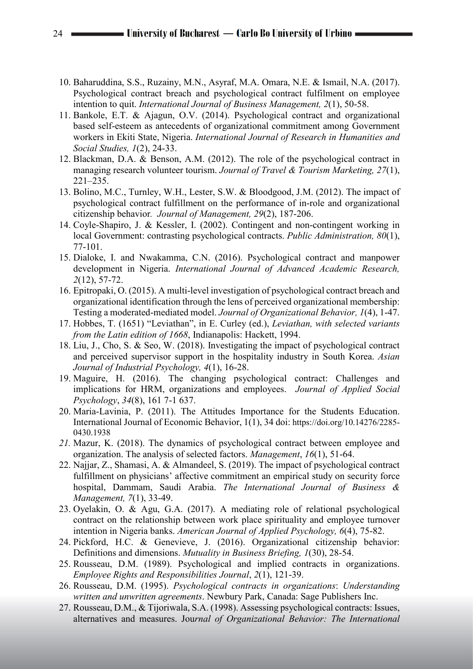- 10. Baharuddina, S.S., Ruzainy, M.N., Asyraf, M.A. Omara, N.E. & Ismail, N.A. (2017). Psychological contract breach and psychological contract fulfilment on employee intention to quit. *International Journal of Business Management, 2*(1), 50-58.
- 11. Bankole, E.T. & Ajagun, O.V. (2014). Psychological contract and organizational based self-esteem as antecedents of organizational commitment among Government workers in Ekiti State, Nigeria. *International Journal of Research in Humanities and Social Studies, 1*(2), 24-33.
- 12. Blackman, D.A. & Benson, A.M. (2012). The role of the psychological contract in managing research volunteer tourism. *Journal of Travel & Tourism Marketing, 27*(1), 221–235.
- 13. Bolino, M.C., Turnley, W.H., Lester, S.W. & Bloodgood, J.M. (2012). The impact of psychological contract fulfillment on the performance of in-role and organizational citizenship behavior*. Journal of Management, 29*(2), 187-206.
- 14. Coyle-Shapiro, J. & Kessler, I. (2002). Contingent and non-contingent working in local Government: contrasting psychological contracts. *Public Administration, 80*(1), 77-101.
- 15. Dialoke, I. and Nwakamma, C.N. (2016). Psychological contract and manpower development in Nigeria. *International Journal of Advanced Academic Research, 2*(12), 57-72.
- 16. Epitropaki, O. (2015). A multi-level investigation of psychological contract breach and organizational identification through the lens of perceived organizational membership: Testing a moderated-mediated model. *Journal of Organizational Behavior, 1*(4), 1-47.
- 17. Hobbes, T. (1651) "Leviathan", in E. Curley (ed.), *Leviathan, with selected variants from the Latin edition of 1668*, Indianapolis: Hackett, 1994.
- 18. Liu, J., Cho, S. & Seo, W. (2018). Investigating the impact of psychological contract and perceived supervisor support in the hospitality industry in South Korea. *Asian Journal of Industrial Psychology, 4*(1), 16-28.
- 19. Maguire, H. (2016). The changing psychological contract: Challenges and implications for HRM, organizations and employees. *Journal of Applied Social Psychology*, *34*(8), 161 7-1 637.
- 20. Maria-Lavinia, P. (2011). The Attitudes Importance for the Students Education. International Journal of Economic Behavior, 1(1), 34 doi: https://doi.org/10.14276/2285- 0430.1938
- *21.* Mazur, K. (2018). The dynamics of psychological contract between employee and organization. The analysis of selected factors. *Management*, *16*(1), 51-64.
- 22. Najjar, Z., Shamasi, A. & Almandeel, S. (2019). The impact of psychological contract fulfillment on physicians' affective commitment an empirical study on security force hospital, Dammam, Saudi Arabia. *The International Journal of Business & Management, 7*(1), 33-49.
- 23. Oyelakin, O. & Agu, G.A. (2017). A mediating role of relational psychological contract on the relationship between work place spirituality and employee turnover intention in Nigeria banks. *American Journal of Applied Psychology, 6*(4), 75-82.
- 24. Pickford, H.C. & Genevieve, J. (2016). Organizational citizenship behavior: Definitions and dimensions. *Mutuality in Business Briefing, 1*(30), 28-54.
- 25. Rousseau, D.M. (1989). Psychological and implied contracts in organizations. *Employee Rights and Responsibilities Journal*, *2*(1), 121-39.
- 26. Rousseau, D.M. (1995). *Psychological contracts in organizations*: *Understanding written and unwritten agreements*. Newbury Park, Canada: Sage Publishers Inc.
- 27. Rousseau, D.M., & Tijoriwala, S.A. (1998). Assessing psychological contracts: Issues, alternatives and measures. Jou*rnal of Organizational Behavior: The International*